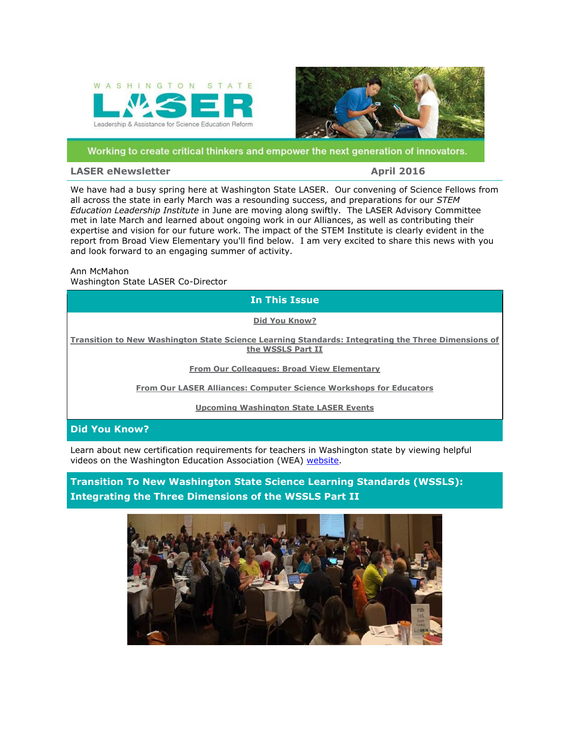<span id="page-0-0"></span>



#### Working to create critical thinkers and empower the next generation of innovators.

#### **LASER eNewsletter April 2016**

We have had a busy spring here at Washington State LASER. Our convening of Science Fellows from all across the state in early March was a resounding success, and preparations for our *STEM Education Leadership Institute* in June are moving along swiftly. The LASER Advisory Committee met in late March and learned about ongoing work in our Alliances, as well as contributing their expertise and vision for our future work. The impact of the STEM Institute is clearly evident in the report from Broad View Elementary you'll find below. I am very excited to share this news with you and look forward to an engaging summer of activity.

Ann McMahon Washington State LASER Co-Director

**In This Issue**

**[Did You Know?](#page-0-0)**

**[Transition to New Washington State Science Learning Standards: Integrating the Three Dimensions of](#page-0-0)  [the WSSLS Part II](#page-0-0)**

**[From Our Colleagues: Broad View Elementary](#page-1-0)**

**[From Our LASER Alliances: Computer Science Workshops for Educators](#page-1-0)**

**[Upcoming Washington State LASER Events](#page-2-0)**

### **Did You Know?**

Learn about new certification requirements for teachers in Washington state by viewing helpful videos on the Washington Education Association (WEA) [website.](http://r20.rs6.net/tn.jsp?f=001nuX1qyTc5Vg-Jy-KxrWhcPr4_0LDJdB6MrdzO50DBsFqXxfxjBGf-tG27qltVs8M7JqyaAlfPr1jnjFiGx_bNdSCFTkq7a6PE721rDKvNWfdQf27Obw746M3nw6pNwAaO4j3GNZuFYPmODtsNtk8MeOQ87s0TrZpmXuYjkQwM2Qt2tFb1dwtNYcx9whsvzDfgucptaH1KViUom6RwFToq8iiiAM3pKdeDF8ynE2Elpf28BKE6PcUZEeHwUtptVan&c=Kq3wHft7DhnCOzqLiZrKegagVuyLZ2X372a3TGldlRGxeYMdAU2suQ==&ch=9w8WQaXgP_Tt57NmOayQmGbVntjyVs2VTc60wIOlCocGrwBF9iwz9Q==)

**Transition To New Washington State Science Learning Standards (WSSLS): Integrating the Three Dimensions of the WSSLS Part II**

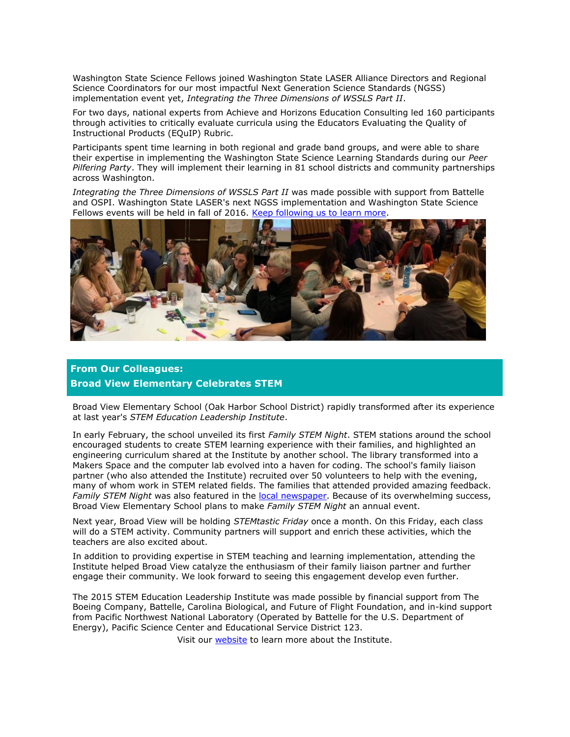<span id="page-1-0"></span>Washington State Science Fellows joined Washington State LASER Alliance Directors and Regional Science Coordinators for our most impactful Next Generation Science Standards (NGSS) implementation event yet, *Integrating the Three Dimensions of WSSLS Part II*.

For two days, national experts from Achieve and Horizons Education Consulting led 160 participants through activities to critically evaluate curricula using the Educators Evaluating the Quality of Instructional Products (EQuIP) Rubric.

Participants spent time learning in both regional and grade band groups, and were able to share their expertise in implementing the Washington State Science Learning Standards during our *Peer Pilfering Party*. They will implement their learning in 81 school districts and community partnerships across Washington.

*Integrating the Three Dimensions of WSSLS Part II* was made possible with support from Battelle and OSPI. Washington State LASER's next NGSS implementation and Washington State Science Fellows events will be held in fall of 2016. [Keep following us to learn more.](http://r20.rs6.net/tn.jsp?f=001nuX1qyTc5Vg-Jy-KxrWhcPr4_0LDJdB6MrdzO50DBsFqXxfxjBGf-tG27qltVs8Ms2_Cpp7KzI5Cogd0ahCvpMYQB-_OFc0Pr_8IaCFZbH-dGmEe7wjvZsmUYUITVHUnG_BNO8oHkG50iu1hOULbDUWmJmRJbBTFekdZ5XicO6sx2Wjb0U6mAw==&c=Kq3wHft7DhnCOzqLiZrKegagVuyLZ2X372a3TGldlRGxeYMdAU2suQ==&ch=9w8WQaXgP_Tt57NmOayQmGbVntjyVs2VTc60wIOlCocGrwBF9iwz9Q==)



## **From Our Colleagues: Broad View Elementary Celebrates STEM**

Broad View Elementary School (Oak Harbor School District) rapidly transformed after its experience at last year's *STEM Education Leadership Institute*.

In early February, the school unveiled its first *Family STEM Night*. STEM stations around the school encouraged students to create STEM learning experience with their families, and highlighted an engineering curriculum shared at the Institute by another school. The library transformed into a Makers Space and the computer lab evolved into a haven for coding. The school's family liaison partner (who also attended the Institute) recruited over 50 volunteers to help with the evening, many of whom work in STEM related fields. The families that attended provided amazing feedback. *Family STEM Night* was also featured in the [local newspaper.](http://r20.rs6.net/tn.jsp?f=001nuX1qyTc5Vg-Jy-KxrWhcPr4_0LDJdB6MrdzO50DBsFqXxfxjBGf-tG27qltVs8M_PZ4UqqPw7uX0wVTBjSMqZSfDJTxp7FtVmuKkvCLvwJ4aBSmTF_HrmA0KWfA1DoT_-4Yl2WUGPPG2d65pmC8AHjpd3bROMJegFokdvRfsCyHbW1EC-1UAbNpC5t9ZzwGUR4SfUK4votwZ72XdnCRZw==&c=Kq3wHft7DhnCOzqLiZrKegagVuyLZ2X372a3TGldlRGxeYMdAU2suQ==&ch=9w8WQaXgP_Tt57NmOayQmGbVntjyVs2VTc60wIOlCocGrwBF9iwz9Q==) Because of its overwhelming success, Broad View Elementary School plans to make *Family STEM Night* an annual event.

Next year, Broad View will be holding *STEMtastic Friday* once a month. On this Friday, each class will do a STEM activity. Community partners will support and enrich these activities, which the teachers are also excited about.

In addition to providing expertise in STEM teaching and learning implementation, attending the Institute helped Broad View catalyze the enthusiasm of their family liaison partner and further engage their community. We look forward to seeing this engagement develop even further.

The 2015 STEM Education Leadership Institute was made possible by financial support from The Boeing Company, Battelle, Carolina Biological, and Future of Flight Foundation, and in-kind support from Pacific Northwest National Laboratory (Operated by Battelle for the U.S. Department of Energy), Pacific Science Center and Educational Service District 123.

Visit our [website](http://r20.rs6.net/tn.jsp?f=001nuX1qyTc5Vg-Jy-KxrWhcPr4_0LDJdB6MrdzO50DBsFqXxfxjBGf-v5w5aNoP-_2QaV_niWWThYnd4_7IxaVvVi8OPIs4gtCK8UD3by8NEen3BinTuhrPg66rukekqJUQT-cN5dZzttt31OoMvOXz-CDV8MS8kiMJv_IlyW-IUsFnXN1iqcG8thgkzvaOwmEEBEtnkQcRpixDKXswfvSE2w0plSox3hd9jEyulJ7duM=&c=Kq3wHft7DhnCOzqLiZrKegagVuyLZ2X372a3TGldlRGxeYMdAU2suQ==&ch=9w8WQaXgP_Tt57NmOayQmGbVntjyVs2VTc60wIOlCocGrwBF9iwz9Q==) to learn more about the Institute.